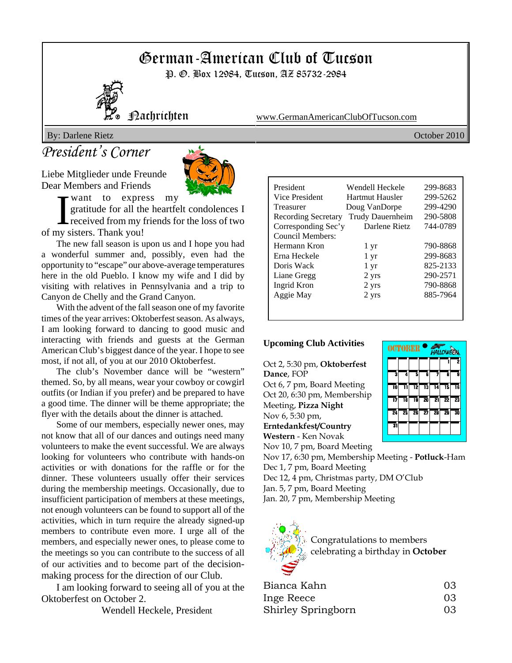# German-American Club of Tucson

P. *G.* Box 12984, Tucson, AZ 85732-2984



Nachrichten www.GermanAmericanClubOfTucson.com

By: Darlene Rietz October 2010

## *President's Corner*

Liebe Mitglieder unde Freunde Dear Members and Friends



want to express my

want to express<br>gratitude for all the<br>received from my is<br>of my sisters. Thank you! gratitude for all the heartfelt condolences I received from my friends for the loss of two

The new fall season is upon us and I hope you had a wonderful summer and, possibly, even had the opportunity to "escape" our above-average temperatures here in the old Pueblo. I know my wife and I did by visiting with relatives in Pennsylvania and a trip to Canyon de Chelly and the Grand Canyon.

With the advent of the fall season one of my favorite times of the year arrives: Oktoberfest season. As always, I am looking forward to dancing to good music and interacting with friends and guests at the German American Club's biggest dance of the year. I hope to see most, if not all, of you at our 2010 Oktoberfest.

The club's November dance will be "western" themed. So, by all means, wear your cowboy or cowgirl outfits (or Indian if you prefer) and be prepared to have a good time. The dinner will be theme appropriate; the flyer with the details about the dinner is attached.

Some of our members, especially newer ones, may not know that all of our dances and outings need many volunteers to make the event successful. We are always looking for volunteers who contribute with hands-on activities or with donations for the raffle or for the dinner. These volunteers usually offer their services during the membership meetings. Occasionally, due to insufficient participation of members at these meetings, not enough volunteers can be found to support all of the activities, which in turn require the already signed-up members to contribute even more. I urge all of the members, and especially newer ones, to please come to the meetings so you can contribute to the success of all of our activities and to become part of the decisionmaking process for the direction of our Club.

I am looking forward to seeing all of you at the Oktoberfest on October 2.

Wendell Heckele, President

| President           | Wendell Heckele  | 299-8683 |
|---------------------|------------------|----------|
| Vice President      | Hartmut Hausler  | 299-5262 |
| Treasurer           | Doug VanDorpe    | 299-4290 |
| Recording Secretary | Trudy Dauernheim | 290-5808 |
| Corresponding Sec'y | Darlene Rietz    | 744-0789 |
| Council Members:    |                  |          |
| Hermann Kron        | $1 \, yr$        | 790-8868 |
| Erna Heckele        | $1 \mathrm{yr}$  | 299-8683 |
| Doris Wack          | $1 \, yr$        | 825-2133 |
| Liane Gregg         | 2 yrs            | 290-2571 |
| Ingrid Kron         | 2 yrs            | 790-8868 |
| Aggie May           | 2 yrs            | 885-7964 |
|                     |                  |          |
|                     |                  |          |

#### **Upcoming Club Activities**

Oct 2, 5:30 pm, **Oktoberfest Dance**, FOP Oct 6, 7 pm, Board Meeting Oct 20, 6:30 pm, Membership Meeting, **Pizza Night** Nov 6, 5:30 pm, **Erntedankfest/Country**



**Western** - Ken Novak Nov 10, 7 pm, Board Meeting

Nov 17, 6:30 pm, Membership Meeting - **Potluck**-Ham Dec 1, 7 pm, Board Meeting

Dec 12, 4 pm, Christmas party, DM O'Club

Jan. 5, 7 pm, Board Meeting

Jan. 20, 7 pm, Membership Meeting



| Bianca Kahn        | 03 |
|--------------------|----|
| Inge Reece         | 03 |
| Shirley Springborn | 03 |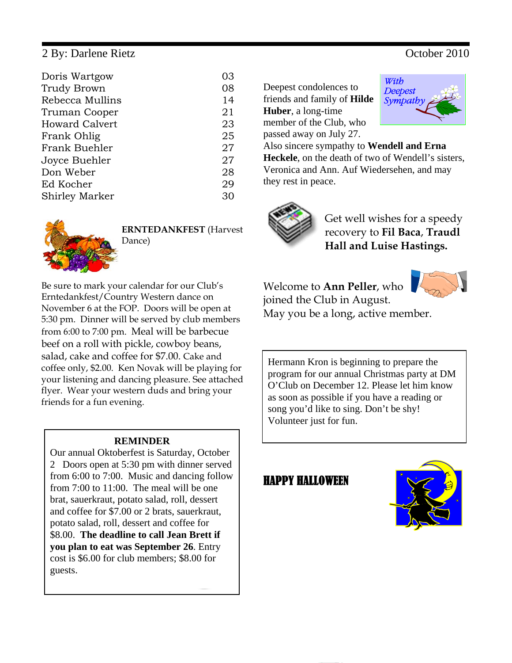#### 2 By: Darlene Rietz October 2010

| Doris Wartgow         | 03 |
|-----------------------|----|
| <b>Trudy Brown</b>    | 08 |
| Rebecca Mullins       | 14 |
| Truman Cooper         | 21 |
| <b>Howard Calvert</b> | 23 |
| Frank Ohlig           | 25 |
| Frank Buehler         | 27 |
| Joyce Buehler         | 27 |
| Don Weber             | 28 |
| Ed Kocher             | 29 |
| <b>Shirley Marker</b> | 30 |



**ERNTEDANKFEST** (Harvest Dance)

Be sure to mark your calendar for our Club's Erntedankfest/Country Western dance on November 6 at the FOP. Doors will be open at 5:30 pm. Dinner will be served by club members from 6:00 to 7:00 pm. Meal will be barbecue beef on a roll with pickle, cowboy beans, salad, cake and coffee for \$7.00. Cake and coffee only, \$2.00. Ken Novak will be playing for your listening and dancing pleasure. See attached flyer. Wear your western duds and bring your friends for a fun evening.

#### **REMINDER**

Our annual Oktoberfest is Saturday, October 2 Doors open at 5:30 pm with dinner served from 6:00 to 7:00. Music and dancing follow from 7:00 to 11:00. The meal will be one brat, sauerkraut, potato salad, roll, dessert and coffee for \$7.00 or 2 brats, sauerkraut, potato salad, roll, dessert and coffee for \$8.00. **The deadline to call Jean Brett if you plan to eat was September 26**. Entry cost is \$6.00 for club members; \$8.00 for guests.

Deepest condolences to friends and family of **Hilde**

**Huber**, a long-time member of the Club, who

passed away on July 27.



Also sincere sympathy to **Wendell and Erna Heckele**, on the death of two of Wendell's sisters, Veronica and Ann. Auf Wiedersehen, and may they rest in peace.



Get well wishes for a speedy recovery to **Fil Baca**, **Traudl Hall and Luise Hastings.** 

Welcome to **Ann Peller**, who joined the Club in August. May you be a long, active member.



Hermann Kron is beginning to prepare the program for our annual Christmas party at DM O'Club on December 12. Please let him know as soon as possible if you have a reading or song you'd like to sing. Don't be shy! Volunteer just for fun.

### HAPPY HALLOWEEN